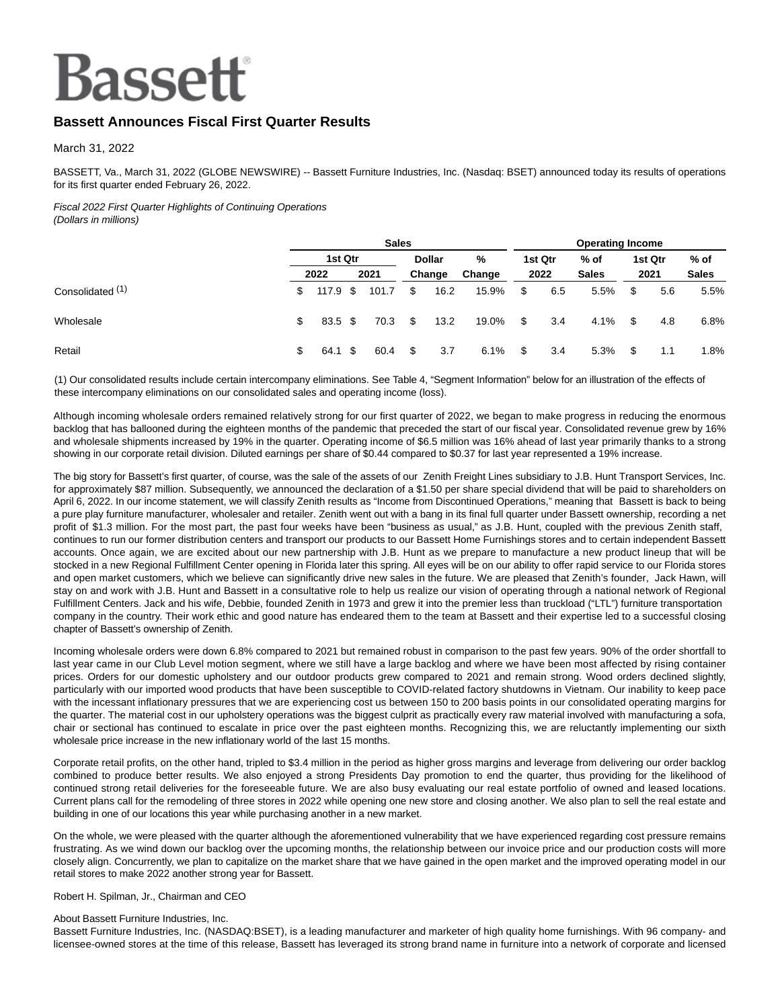# **Bassett**

# **Bassett Announces Fiscal First Quarter Results**

March 31, 2022

BASSETT, Va., March 31, 2022 (GLOBE NEWSWIRE) -- Bassett Furniture Industries, Inc. (Nasdaq: BSET) announced today its results of operations for its first quarter ended February 26, 2022.

# Fiscal 2022 First Quarter Highlights of Continuing Operations

|  |  | (Dollars in millions) |
|--|--|-----------------------|
|--|--|-----------------------|

|                             | <b>Sales</b> |          |  |       |    | <b>Operating Income</b> |        |      |         |              |      |         |              |
|-----------------------------|--------------|----------|--|-------|----|-------------------------|--------|------|---------|--------------|------|---------|--------------|
|                             |              | 1st Qtr  |  |       |    | <b>Dollar</b>           | %      |      | 1st Qtr | $%$ of       |      | 1st Qtr | $%$ of       |
|                             |              | 2022     |  | 2021  |    | Change                  | Change |      | 2022    | <b>Sales</b> |      | 2021    | <b>Sales</b> |
| Consolidated <sup>(1)</sup> | \$           | 117.9 \$ |  | 101.7 | \$ | 16.2                    | 15.9%  | - \$ | 6.5     | 5.5%         | \$   | 5.6     | 5.5%         |
| Wholesale                   | \$           | 83.5 \$  |  | 70.3  | \$ | 13.2                    | 19.0%  | - \$ | 3.4     | 4.1%         | - \$ | 4.8     | 6.8%         |
| Retail                      | \$.          | 64.1 \$  |  | 60.4  | \$ | 3.7                     | 6.1%   | - \$ | 3.4     | 5.3%         | S    | 1.1     | 1.8%         |

(1) Our consolidated results include certain intercompany eliminations. See Table 4, "Segment Information" below for an illustration of the effects of these intercompany eliminations on our consolidated sales and operating income (loss).

Although incoming wholesale orders remained relatively strong for our first quarter of 2022, we began to make progress in reducing the enormous backlog that has ballooned during the eighteen months of the pandemic that preceded the start of our fiscal year. Consolidated revenue grew by 16% and wholesale shipments increased by 19% in the quarter. Operating income of \$6.5 million was 16% ahead of last year primarily thanks to a strong showing in our corporate retail division. Diluted earnings per share of \$0.44 compared to \$0.37 for last year represented a 19% increase.

The big story for Bassett's first quarter, of course, was the sale of the assets of our Zenith Freight Lines subsidiary to J.B. Hunt Transport Services, Inc. for approximately \$87 million. Subsequently, we announced the declaration of a \$1.50 per share special dividend that will be paid to shareholders on April 6, 2022. In our income statement, we will classify Zenith results as "Income from Discontinued Operations," meaning that Bassett is back to being a pure play furniture manufacturer, wholesaler and retailer. Zenith went out with a bang in its final full quarter under Bassett ownership, recording a net profit of \$1.3 million. For the most part, the past four weeks have been "business as usual," as J.B. Hunt, coupled with the previous Zenith staff, continues to run our former distribution centers and transport our products to our Bassett Home Furnishings stores and to certain independent Bassett accounts. Once again, we are excited about our new partnership with J.B. Hunt as we prepare to manufacture a new product lineup that will be stocked in a new Regional Fulfillment Center opening in Florida later this spring. All eyes will be on our ability to offer rapid service to our Florida stores and open market customers, which we believe can significantly drive new sales in the future. We are pleased that Zenith's founder, Jack Hawn, will stay on and work with J.B. Hunt and Bassett in a consultative role to help us realize our vision of operating through a national network of Regional Fulfillment Centers. Jack and his wife, Debbie, founded Zenith in 1973 and grew it into the premier less than truckload ("LTL") furniture transportation company in the country. Their work ethic and good nature has endeared them to the team at Bassett and their expertise led to a successful closing chapter of Bassett's ownership of Zenith.

Incoming wholesale orders were down 6.8% compared to 2021 but remained robust in comparison to the past few years. 90% of the order shortfall to last year came in our Club Level motion segment, where we still have a large backlog and where we have been most affected by rising container prices. Orders for our domestic upholstery and our outdoor products grew compared to 2021 and remain strong. Wood orders declined slightly, particularly with our imported wood products that have been susceptible to COVID-related factory shutdowns in Vietnam. Our inability to keep pace with the incessant inflationary pressures that we are experiencing cost us between 150 to 200 basis points in our consolidated operating margins for the quarter. The material cost in our upholstery operations was the biggest culprit as practically every raw material involved with manufacturing a sofa, chair or sectional has continued to escalate in price over the past eighteen months. Recognizing this, we are reluctantly implementing our sixth wholesale price increase in the new inflationary world of the last 15 months.

Corporate retail profits, on the other hand, tripled to \$3.4 million in the period as higher gross margins and leverage from delivering our order backlog combined to produce better results. We also enjoyed a strong Presidents Day promotion to end the quarter, thus providing for the likelihood of continued strong retail deliveries for the foreseeable future. We are also busy evaluating our real estate portfolio of owned and leased locations. Current plans call for the remodeling of three stores in 2022 while opening one new store and closing another. We also plan to sell the real estate and building in one of our locations this year while purchasing another in a new market.

On the whole, we were pleased with the quarter although the aforementioned vulnerability that we have experienced regarding cost pressure remains frustrating. As we wind down our backlog over the upcoming months, the relationship between our invoice price and our production costs will more closely align. Concurrently, we plan to capitalize on the market share that we have gained in the open market and the improved operating model in our retail stores to make 2022 another strong year for Bassett.

#### Robert H. Spilman, Jr., Chairman and CEO

#### About Bassett Furniture Industries, Inc.

Bassett Furniture Industries, Inc. (NASDAQ:BSET), is a leading manufacturer and marketer of high quality home furnishings. With 96 company- and licensee-owned stores at the time of this release, Bassett has leveraged its strong brand name in furniture into a network of corporate and licensed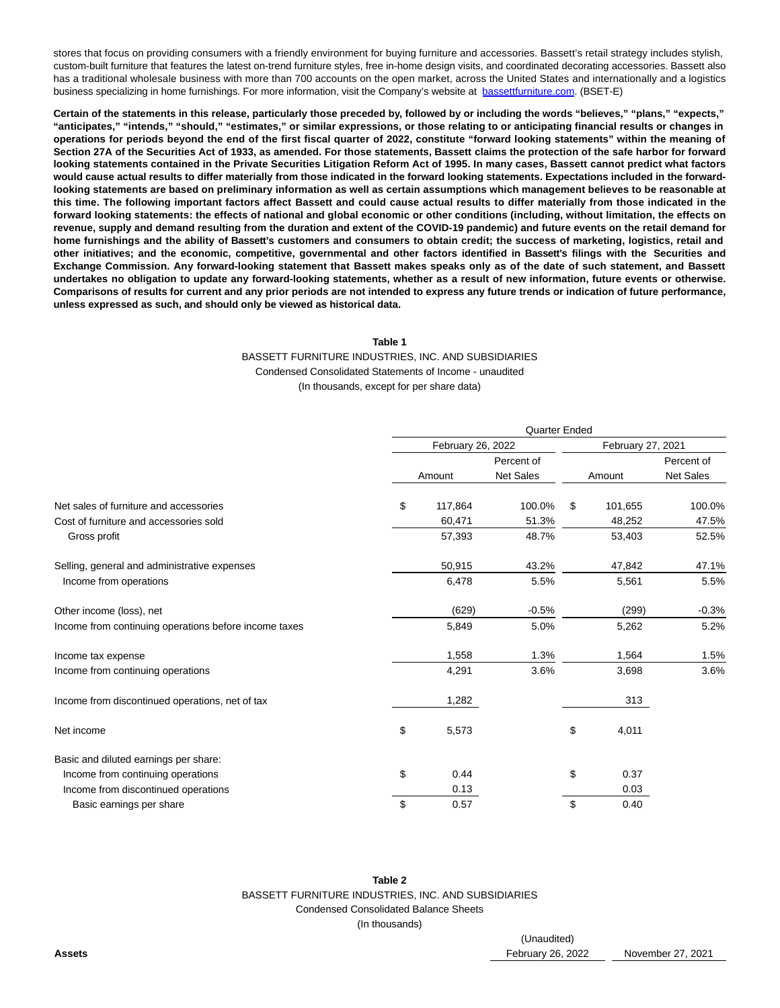stores that focus on providing consumers with a friendly environment for buying furniture and accessories. Bassett's retail strategy includes stylish, custom-built furniture that features the latest on-trend furniture styles, free in-home design visits, and coordinated decorating accessories. Bassett also has a traditional wholesale business with more than 700 accounts on the open market, across the United States and internationally and a logistics business specializing in home furnishings. For more information, visit the Company's website at [bassettfurniture.com.](http://bassettfurniture.com/) (BSET-E)

**Certain of the statements in this release, particularly those preceded by, followed by or including the words "believes," "plans," "expects," "anticipates," "intends," "should," "estimates," or similar expressions, or those relating to or anticipating financial results or changes in operations for periods beyond the end of the first fiscal quarter of 2022, constitute "forward looking statements" within the meaning of Section 27A of the Securities Act of 1933, as amended. For those statements, Bassett claims the protection of the safe harbor for forward looking statements contained in the Private Securities Litigation Reform Act of 1995. In many cases, Bassett cannot predict what factors would cause actual results to differ materially from those indicated in the forward looking statements. Expectations included in the forwardlooking statements are based on preliminary information as well as certain assumptions which management believes to be reasonable at this time. The following important factors affect Bassett and could cause actual results to differ materially from those indicated in the forward looking statements: the effects of national and global economic or other conditions (including, without limitation, the effects on revenue, supply and demand resulting from the duration and extent of the COVID-19 pandemic) and future events on the retail demand for home furnishings and the ability of Bassett's customers and consumers to obtain credit; the success of marketing, logistics, retail and other initiatives; and the economic, competitive, governmental and other factors identified in Bassett's filings with the Securities and Exchange Commission. Any forward-looking statement that Bassett makes speaks only as of the date of such statement, and Bassett undertakes no obligation to update any forward-looking statements, whether as a result of new information, future events or otherwise. Comparisons of results for current and any prior periods are not intended to express any future trends or indication of future performance, unless expressed as such, and should only be viewed as historical data.**

#### **Table 1**

## BASSETT FURNITURE INDUSTRIES, INC. AND SUBSIDIARIES Condensed Consolidated Statements of Income - unaudited (In thousands, except for per share data)

|                                                       | <b>Quarter Ended</b> |                   |    |         |                  |  |  |  |
|-------------------------------------------------------|----------------------|-------------------|----|---------|------------------|--|--|--|
|                                                       | February 26, 2022    | February 27, 2021 |    |         |                  |  |  |  |
|                                                       | Percent of           |                   |    |         | Percent of       |  |  |  |
|                                                       | Amount               | <b>Net Sales</b>  |    | Amount  | <b>Net Sales</b> |  |  |  |
| Net sales of furniture and accessories                | \$<br>117,864        | 100.0%            | \$ | 101,655 | 100.0%           |  |  |  |
| Cost of furniture and accessories sold                | 60,471               | 51.3%             |    | 48,252  | 47.5%            |  |  |  |
| Gross profit                                          | 57,393               | 48.7%             |    | 53,403  | 52.5%            |  |  |  |
| Selling, general and administrative expenses          | 50,915               | 43.2%             |    | 47,842  | 47.1%            |  |  |  |
| Income from operations                                | 6,478                | 5.5%              |    | 5,561   | 5.5%             |  |  |  |
| Other income (loss), net                              | (629)                | $-0.5%$           |    | (299)   | $-0.3%$          |  |  |  |
| Income from continuing operations before income taxes | 5,849                | 5.0%              |    | 5,262   | 5.2%             |  |  |  |
| Income tax expense                                    | 1,558                | 1.3%              |    | 1.564   | 1.5%             |  |  |  |
| Income from continuing operations                     | 4,291                | 3.6%              |    | 3,698   | 3.6%             |  |  |  |
| Income from discontinued operations, net of tax       | 1,282                |                   |    | 313     |                  |  |  |  |
| Net income                                            | \$<br>5,573          |                   | \$ | 4,011   |                  |  |  |  |
| Basic and diluted earnings per share:                 |                      |                   |    |         |                  |  |  |  |
| Income from continuing operations                     | \$<br>0.44           |                   | \$ | 0.37    |                  |  |  |  |
| Income from discontinued operations                   | 0.13                 |                   |    | 0.03    |                  |  |  |  |
| Basic earnings per share                              | \$<br>0.57           |                   | \$ | 0.40    |                  |  |  |  |

**Table 2** BASSETT FURNITURE INDUSTRIES, INC. AND SUBSIDIARIES Condensed Consolidated Balance Sheets (In thousands)

(Unaudited) **Assets** February 26, 2022 November 27, 2021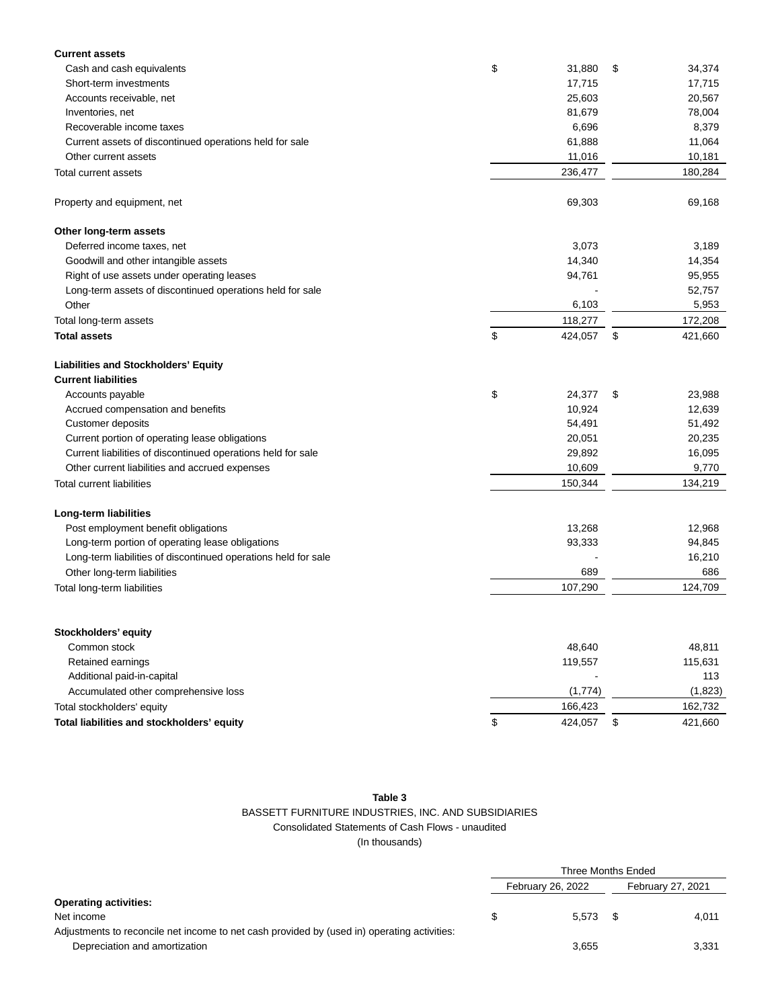| <b>Current assets</b>                                          |               |               |
|----------------------------------------------------------------|---------------|---------------|
| Cash and cash equivalents                                      | \$<br>31,880  | \$<br>34,374  |
| Short-term investments                                         | 17,715        | 17,715        |
| Accounts receivable, net                                       | 25,603        | 20,567        |
| Inventories, net                                               | 81,679        | 78,004        |
| Recoverable income taxes                                       | 6,696         | 8,379         |
| Current assets of discontinued operations held for sale        | 61,888        | 11,064        |
| Other current assets                                           | 11,016        | 10,181        |
| Total current assets                                           | 236,477       | 180,284       |
| Property and equipment, net                                    | 69,303        | 69,168        |
| Other long-term assets                                         |               |               |
| Deferred income taxes, net                                     | 3,073         | 3,189         |
| Goodwill and other intangible assets                           | 14,340        | 14,354        |
| Right of use assets under operating leases                     | 94,761        | 95,955        |
| Long-term assets of discontinued operations held for sale      |               | 52,757        |
| Other                                                          | 6,103         | 5,953         |
| Total long-term assets                                         | 118,277       | 172,208       |
| <b>Total assets</b>                                            | \$<br>424,057 | \$<br>421,660 |
| <b>Liabilities and Stockholders' Equity</b>                    |               |               |
| <b>Current liabilities</b>                                     |               |               |
| Accounts payable                                               | \$<br>24,377  | \$<br>23,988  |
| Accrued compensation and benefits                              | 10,924        | 12,639        |
| Customer deposits                                              | 54,491        | 51,492        |
| Current portion of operating lease obligations                 | 20,051        | 20,235        |
| Current liabilities of discontinued operations held for sale   | 29,892        | 16,095        |
| Other current liabilities and accrued expenses                 | 10,609        | 9,770         |
| <b>Total current liabilities</b>                               | 150,344       | 134,219       |
| Long-term liabilities                                          |               |               |
| Post employment benefit obligations                            | 13,268        | 12,968        |
| Long-term portion of operating lease obligations               | 93,333        | 94,845        |
| Long-term liabilities of discontinued operations held for sale |               | 16,210        |
| Other long-term liabilities                                    | 689           | 686           |
| Total long-term liabilities                                    | 107,290       | 124,709       |
|                                                                |               |               |
| Stockholders' equity<br>Common stock                           | 48,640        |               |
|                                                                |               | 48,811        |
| Retained earnings                                              | 119,557       | 115,631       |
| Additional paid-in-capital                                     |               | 113           |
| Accumulated other comprehensive loss                           | (1,774)       | (1,823)       |
| Total stockholders' equity                                     | 166,423       | 162,732       |
| Total liabilities and stockholders' equity                     | \$<br>424,057 | \$<br>421,660 |

# **Table 3**

## BASSETT FURNITURE INDUSTRIES, INC. AND SUBSIDIARIES Consolidated Statements of Cash Flows - unaudited (In thousands)

|                                                                                             |  | Three Months Ended |                   |       |  |  |
|---------------------------------------------------------------------------------------------|--|--------------------|-------------------|-------|--|--|
|                                                                                             |  | February 26, 2022  | February 27, 2021 |       |  |  |
| <b>Operating activities:</b>                                                                |  |                    |                   |       |  |  |
| Net income                                                                                  |  | $5.573$ \$         |                   | 4,011 |  |  |
| Adjustments to reconcile net income to net cash provided by (used in) operating activities: |  |                    |                   |       |  |  |
| Depreciation and amortization                                                               |  | 3,655              |                   | 3,331 |  |  |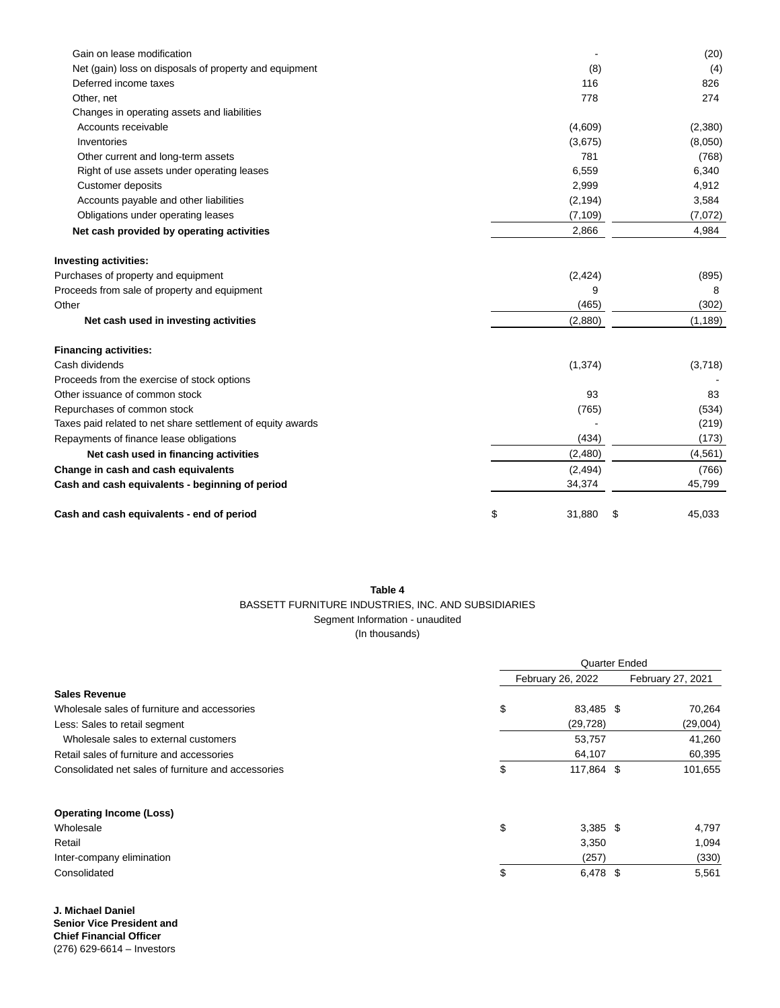| Gain on lease modification                                  | $\blacksquare$ | (20)         |
|-------------------------------------------------------------|----------------|--------------|
| Net (gain) loss on disposals of property and equipment      | (8)            | (4)          |
| Deferred income taxes                                       | 116            | 826          |
| Other, net                                                  | 778            | 274          |
| Changes in operating assets and liabilities                 |                |              |
| Accounts receivable                                         | (4,609)        | (2,380)      |
| Inventories                                                 | (3,675)        | (8,050)      |
| Other current and long-term assets                          | 781            | (768)        |
| Right of use assets under operating leases                  | 6,559          | 6,340        |
| Customer deposits                                           | 2,999          | 4,912        |
| Accounts payable and other liabilities                      | (2, 194)       | 3,584        |
| Obligations under operating leases                          | (7, 109)       | (7,072)      |
| Net cash provided by operating activities                   | 2,866          | 4,984        |
| <b>Investing activities:</b>                                |                |              |
| Purchases of property and equipment                         | (2, 424)       | (895)        |
| Proceeds from sale of property and equipment                | 9              | 8            |
| Other                                                       | (465)          | (302)        |
| Net cash used in investing activities                       | (2,880)        | (1, 189)     |
| <b>Financing activities:</b>                                |                |              |
| Cash dividends                                              | (1, 374)       | (3,718)      |
| Proceeds from the exercise of stock options                 |                |              |
| Other issuance of common stock                              | 93             | 83           |
| Repurchases of common stock                                 | (765)          | (534)        |
| Taxes paid related to net share settlement of equity awards |                | (219)        |
| Repayments of finance lease obligations                     | (434)          | (173)        |
| Net cash used in financing activities                       | (2,480)        | (4,561)      |
| Change in cash and cash equivalents                         | (2, 494)       | (766)        |
| Cash and cash equivalents - beginning of period             | 34,374         | 45,799       |
| Cash and cash equivalents - end of period                   | \$<br>31,880   | \$<br>45,033 |

# **Table 4** BASSETT FURNITURE INDUSTRIES, INC. AND SUBSIDIARIES Segment Information - unaudited (In thousands)

|                                                     | <b>Quarter Ended</b> |                   |  |                   |  |  |
|-----------------------------------------------------|----------------------|-------------------|--|-------------------|--|--|
|                                                     |                      | February 26, 2022 |  | February 27, 2021 |  |  |
| <b>Sales Revenue</b>                                |                      |                   |  |                   |  |  |
| Wholesale sales of furniture and accessories        | \$                   | 83,485 \$         |  | 70,264            |  |  |
| Less: Sales to retail segment                       |                      | (29, 728)         |  | (29,004)          |  |  |
| Wholesale sales to external customers               |                      | 53,757            |  | 41,260            |  |  |
| Retail sales of furniture and accessories           |                      | 64,107            |  | 60,395            |  |  |
| Consolidated net sales of furniture and accessories | \$                   | 117,864 \$        |  | 101,655           |  |  |
| <b>Operating Income (Loss)</b>                      |                      |                   |  |                   |  |  |
| Wholesale                                           | \$                   | $3,385$ \$        |  | 4,797             |  |  |
| Retail                                              |                      | 3,350             |  | 1,094             |  |  |
| Inter-company elimination                           |                      | (257)             |  | (330)             |  |  |
| Consolidated                                        | \$                   | 6,478 \$          |  | 5,561             |  |  |

**J. Michael Daniel Senior Vice President and Chief Financial Officer**  (276) 629-6614 – Investors